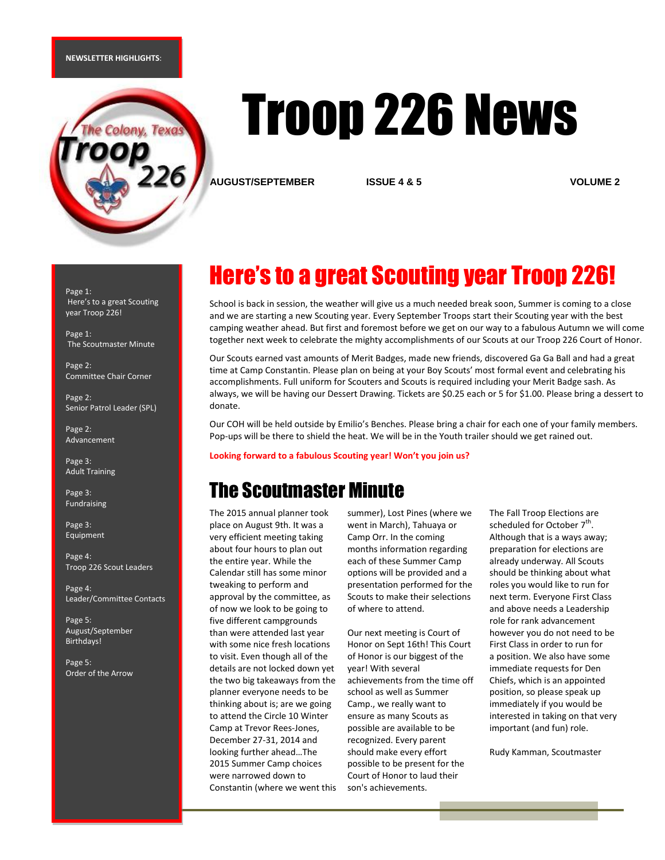#### **NEWSLETTER HIGHLIGHTS**:



# Troop 226 News

**AUGUST/SEPTEMBER ISSUE 4 & 5 VOLUME 2**

Page 1: Here's to a great Scouting year Troop 226!

Page 1: The Scoutmaster Minute

Page 2: Committee Chair Corner

Page 2: Senior Patrol Leader (SPL)

Page 2: Advancement

Page 3: Adult Training

Page 3: Fundraising

Page 3: Equipment

Page 4: Troop 226 Scout Leaders

Page 4: Leader/Committee Contacts

Page 5: August/September Birthdays!

Page 5: Order of the Arrow

# Here's to a great Scouting year Troop 226!

School is back in session, the weather will give us a much needed break soon, Summer is coming to a close and we are starting a new Scouting year. Every September Troops start their Scouting year with the best camping weather ahead. But first and foremost before we get on our way to a fabulous Autumn we will come together next week to celebrate the mighty accomplishments of our Scouts at our Troop 226 Court of Honor.

Our Scouts earned vast amounts of Merit Badges, made new friends, discovered Ga Ga Ball and had a great time at Camp Constantin. Please plan on being at your Boy Scouts' most formal event and celebrating his accomplishments. Full uniform for Scouters and Scouts is required including your Merit Badge sash. As always, we will be having our Dessert Drawing. Tickets are \$0.25 each or 5 for \$1.00. Please bring a dessert to donate.

Our COH will be held outside by Emilio's Benches. Please bring a chair for each one of your family members. Pop-ups will be there to shield the heat. We will be in the Youth trailer should we get rained out.

**Looking forward to a fabulous Scouting year! Won't you join us?**

### The Scoutmaster Minute

The 2015 annual planner took place on August 9th. It was a very efficient meeting taking about four hours to plan out the entire year. While the Calendar still has some minor tweaking to perform and approval by the committee, as of now we look to be going to five different campgrounds than were attended last year with some nice fresh locations to visit. Even though all of the details are not locked down yet the two big takeaways from the planner everyone needs to be thinking about is; are we going to attend the Circle 10 Winter Camp at Trevor Rees-Jones, December 27-31, 2014 and looking further ahead…The 2015 Summer Camp choices were narrowed down to Constantin (where we went this summer), Lost Pines (where we went in March), Tahuaya or Camp Orr. In the coming months information regarding each of these Summer Camp options will be provided and a presentation performed for the Scouts to make their selections of where to attend.

Our next meeting is Court of Honor on Sept 16th! This Court of Honor is our biggest of the year! With several achievements from the time off school as well as Summer Camp., we really want to ensure as many Scouts as possible are available to be recognized. Every parent should make every effort possible to be present for the Court of Honor to laud their son's achievements.

The Fall Troop Elections are scheduled for October  $7^{\text{th}}$ . Although that is a ways away; preparation for elections are already underway. All Scouts should be thinking about what roles you would like to run for next term. Everyone First Class and above needs a Leadership role for rank advancement however you do not need to be First Class in order to run for a position. We also have some immediate requests for Den Chiefs, which is an appointed position, so please speak up immediately if you would be interested in taking on that very important (and fun) role.

Rudy Kamman, Scoutmaster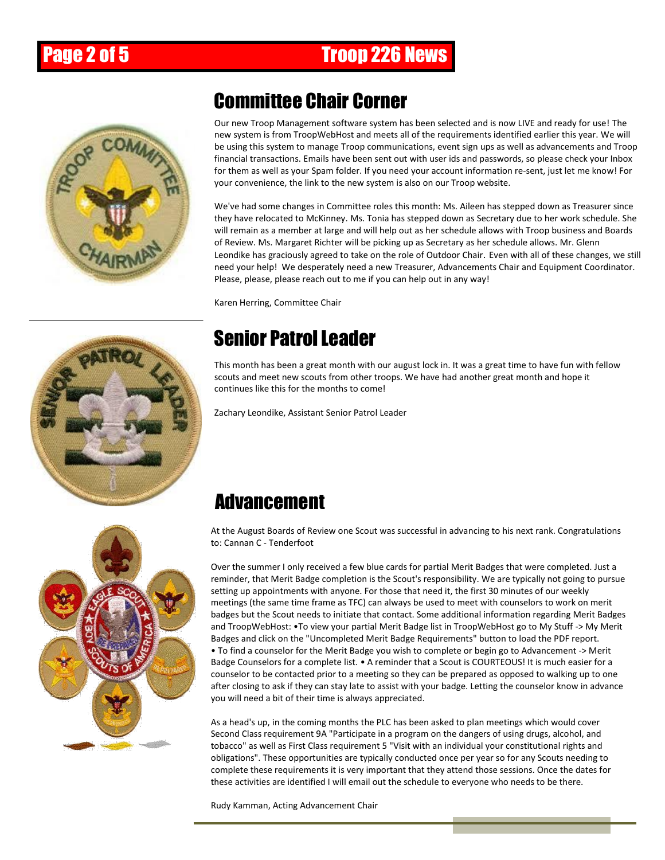## Page 2 of 5 Troop 226 News



### Committee Chair Corner

Our new Troop Management software system has been selected and is now LIVE and ready for use! The new system is from TroopWebHost and meets all of the requirements identified earlier this year. We will be using this system to manage Troop communications, event sign ups as well as advancements and Troop financial transactions. Emails have been sent out with user ids and passwords, so please check your Inbox for them as well as your Spam folder. If you need your account information re-sent, just let me know! For your convenience, the link to the new system is also on our Troop website.

We've had some changes in Committee roles this month: Ms. Aileen has stepped down as Treasurer since they have relocated to McKinney. Ms. Tonia has stepped down as Secretary due to her work schedule. She will remain as a member at large and will help out as her schedule allows with Troop business and Boards of Review. Ms. Margaret Richter will be picking up as Secretary as her schedule allows. Mr. Glenn Leondike has graciously agreed to take on the role of Outdoor Chair. Even with all of these changes, we still need your help! We desperately need a new Treasurer, Advancements Chair and Equipment Coordinator. Please, please, please reach out to me if you can help out in any way!

Karen Herring, Committee Chair



# Senior Patrol Leader

This month has been a great month with our august lock in. It was a great time to have fun with fellow scouts and meet new scouts from other troops. We have had another great month and hope it continues like this for the months to come!

Zachary Leondike, Assistant Senior Patrol Leader



## Advancement

At the August Boards of Review one Scout was successful in advancing to his next rank. Congratulations to: Cannan C - Tenderfoot

Over the summer I only received a few blue cards for partial Merit Badges that were completed. Just a reminder, that Merit Badge completion is the Scout's responsibility. We are typically not going to pursue setting up appointments with anyone. For those that need it, the first 30 minutes of our weekly meetings (the same time frame as TFC) can always be used to meet with counselors to work on merit badges but the Scout needs to initiate that contact. Some additional information regarding Merit Badges and TroopWebHost: •To view your partial Merit Badge list in TroopWebHost go to My Stuff -> My Merit Badges and click on the "Uncompleted Merit Badge Requirements" button to load the PDF report. • To find a counselor for the Merit Badge you wish to complete or begin go to Advancement -> Merit Badge Counselors for a complete list. • A reminder that a Scout is COURTEOUS! It is much easier for a counselor to be contacted prior to a meeting so they can be prepared as opposed to walking up to one after closing to ask if they can stay late to assist with your badge. Letting the counselor know in advance you will need a bit of their time is always appreciated.

As a head's up, in the coming months the PLC has been asked to plan meetings which would cover Second Class requirement 9A "Participate in a program on the dangers of using drugs, alcohol, and tobacco" as well as First Class requirement 5 "Visit with an individual your constitutional rights and obligations". These opportunities are typically conducted once per year so for any Scouts needing to complete these requirements it is very important that they attend those sessions. Once the dates for these activities are identified I will email out the schedule to everyone who needs to be there.

Rudy Kamman, Acting Advancement Chair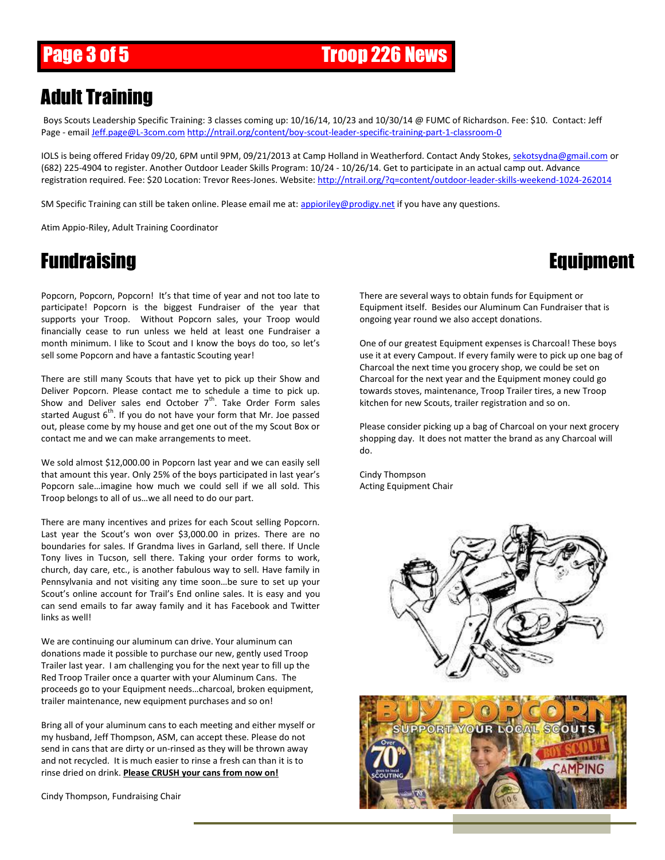## Adult Training

Boys Scouts Leadership Specific Training: 3 classes coming up: 10/16/14, 10/23 and 10/30/14 @ FUMC of Richardson. Fee: \$10. Contact: Jeff Page - email [Jeff.page@L-3com.com](mailto:Jeff.page@L-3com.com) <http://ntrail.org/content/boy-scout-leader-specific-training-part-1-classroom-0>

IOLS is being offered Friday 09/20, 6PM until 9PM, 09/21/2013 at Camp Holland in Weatherford. Contact Andy Stokes[, sekotsydna@gmail.com](mailto:sekotsydna@gmail.com) or (682) 225-4904 to register. Another Outdoor Leader Skills Program: 10/24 - 10/26/14. Get to participate in an actual camp out. Advance registration required. Fee: \$20 Location: Trevor Rees-Jones. Website: <http://ntrail.org/?q=content/outdoor-leader-skills-weekend-1024-262014>

SM Specific Training can still be taken online. Please email me at: [appioriley@prodigy.net](mailto:appioriley@prodigy.net) if you have any questions.

Atim Appio-Riley, Adult Training Coordinator

### Fundraising Equipment

Popcorn, Popcorn, Popcorn! It's that time of year and not too late to participate! Popcorn is the biggest Fundraiser of the year that supports your Troop. Without Popcorn sales, your Troop would financially cease to run unless we held at least one Fundraiser a month minimum. I like to Scout and I know the boys do too, so let's sell some Popcorn and have a fantastic Scouting year!

There are still many Scouts that have yet to pick up their Show and Deliver Popcorn. Please contact me to schedule a time to pick up. Show and Deliver sales end October  $7<sup>th</sup>$ . Take Order Form sales started August  $6<sup>th</sup>$ . If you do not have your form that Mr. Joe passed out, please come by my house and get one out of the my Scout Box or contact me and we can make arrangements to meet.

We sold almost \$12,000.00 in Popcorn last year and we can easily sell that amount this year. Only 25% of the boys participated in last year's Popcorn sale…imagine how much we could sell if we all sold. This Troop belongs to all of us…we all need to do our part.

There are many incentives and prizes for each Scout selling Popcorn. Last year the Scout's won over \$3,000.00 in prizes. There are no boundaries for sales. If Grandma lives in Garland, sell there. If Uncle Tony lives in Tucson, sell there. Taking your order forms to work, church, day care, etc., is another fabulous way to sell. Have family in Pennsylvania and not visiting any time soon…be sure to set up your Scout's online account for Trail's End online sales. It is easy and you can send emails to far away family and it has Facebook and Twitter links as well!

We are continuing our aluminum can drive. Your aluminum can donations made it possible to purchase our new, gently used Troop Trailer last year. I am challenging you for the next year to fill up the Red Troop Trailer once a quarter with your Aluminum Cans. The proceeds go to your Equipment needs…charcoal, broken equipment, trailer maintenance, new equipment purchases and so on!

Bring all of your aluminum cans to each meeting and either myself or my husband, Jeff Thompson, ASM, can accept these. Please do not send in cans that are dirty or un-rinsed as they will be thrown away and not recycled. It is much easier to rinse a fresh can than it is to rinse dried on drink. **Please CRUSH your cans from now on!**

Cindy Thompson, Fundraising Chair

There are several ways to obtain funds for Equipment or Equipment itself. Besides our Aluminum Can Fundraiser that is ongoing year round we also accept donations.

One of our greatest Equipment expenses is Charcoal! These boys use it at every Campout. If every family were to pick up one bag of Charcoal the next time you grocery shop, we could be set on Charcoal for the next year and the Equipment money could go towards stoves, maintenance, Troop Trailer tires, a new Troop kitchen for new Scouts, trailer registration and so on.

Please consider picking up a bag of Charcoal on your next grocery shopping day. It does not matter the brand as any Charcoal will do.

Cindy Thompson Acting Equipment Chair



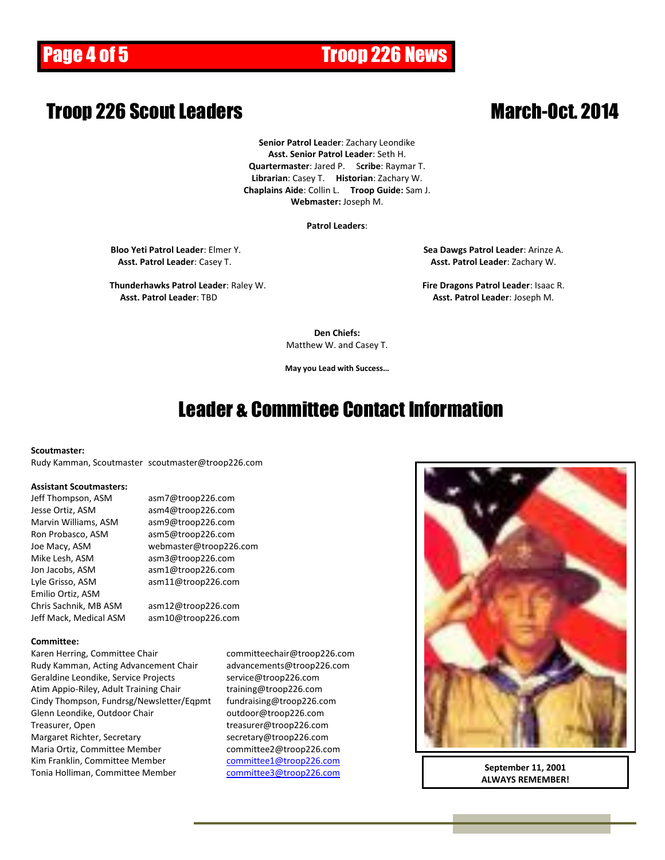# Page 4 of 5 Troop 226 News

#### ł **Troop 226 Scout Leaders March-Oct. 2014**

**Senior Patrol Lea**d**er**: Zachary Leondike **Asst. Senior Patrol Leader**: Seth H. **Quartermaster**: Jared P. S**cribe**: Raymar T. **Librarian**: Casey T. **Historian**: Zachary W. **Chaplains Aide**: Collin L. **Troop Guide:** Sam J. **Webmaster:** Joseph M.

#### **Patrol Leaders**:

**Bloo Yeti Patrol Leader**: Elmer Y. **Sea Dawgs Patrol Leader**: Arinze A. **Asst. Patrol Leader**: Casey T. **Asst. Patrol Leader**: Zachary W.

**Thunderhawks Patrol Leader**: Raley W. **Fire Dragons Patrol Leader**: Isaac R. **Asst. Patrol Leader**: TBD **Asst. Patrol Leader**: Joseph M.

**Den Chiefs:** Matthew W. and Casey T.

**May you Lead with Success…**

#### Leader & Committee Contact Information

#### **Scoutmaster:**

Rudy Kamman, Scoutmaster scoutmaster@troop226.com

#### **Assistant Scoutmasters:**

Jesse Ortiz, ASM asm4@troop226.com Marvin Williams, ASM asm9@troop226.com Ron Probasco, ASM asm5@troop226.com Mike Lesh, ASM asm3@troop226.com Jon Jacobs, ASM asm1@troop226.com Emilio Ortiz, ASM Chris Sachnik, MB ASM asm12@troop226.com

Jeff Thompson, ASM asm7@troop226.com Joe Macy, ASM webmaster@troop226.com Lyle Grisso, ASM asm11@troop226.com

Jeff Mack, Medical ASM asm10@troop226.com

#### **Committee:**

Karen Herring, Committee Chair committeechair@troop226.com Rudy Kamman, Acting Advancement Chair advancements@troop226.com Geraldine Leondike, Service Projects service@troop226.com Atim Appio-Riley, Adult Training Chair training@troop226.com Cindy Thompson, Fundrsg/Newsletter/Eqpmt fundraising@troop226.com Glenn Leondike, Outdoor Chair **come controlled as a controlled and Chair** controlled and Glenn Leondike, Outdoor Treasurer, Open treasurer@troop226.com Margaret Richter, Secretary secretary@troop226.com Maria Ortiz, Committee Member committee2@troop226.com Kim Franklin, Committee Member [committee1@troop226.com](mailto:committee1@troop226.com) Tonia Holliman, Committee Member [committee3@troop226.com](mailto:committee3@troop226.com)



**September 11, 2001 ALWAYS REMEMBER!**